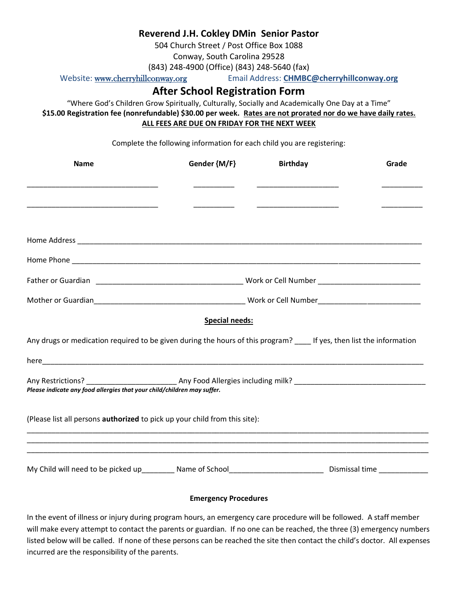## **Reverend J.H. Cokley DMin Senior Pastor**

504 Church Street / Post Office Box 1088

Conway, South Carolina 29528

(843) 248-4900 (Office) (843) 248-5640 (fax)

Website: [www.cherryhillconway.org](http://www.cherryhillconway.org/) Email Address: **CHMBC@cherryhillconway.org**

## **After School Registration Form**

"Where God's Children Grow Spiritually, Culturally, Socially and Academically One Day at a Time" **\$15.00 Registration fee (nonrefundable) \$30.00 per week. Rates are not prorated nor do we have daily rates. ALL FEES ARE DUE ON FRIDAY FOR THE NEXT WEEK**

Complete the following information for each child you are registering:

| <b>Name</b>                                                                                                            | Gender {M/F}          | <b>Birthday</b> | Grade |  |  |  |
|------------------------------------------------------------------------------------------------------------------------|-----------------------|-----------------|-------|--|--|--|
|                                                                                                                        |                       |                 |       |  |  |  |
|                                                                                                                        |                       |                 |       |  |  |  |
|                                                                                                                        |                       |                 |       |  |  |  |
|                                                                                                                        |                       |                 |       |  |  |  |
|                                                                                                                        |                       |                 |       |  |  |  |
|                                                                                                                        |                       |                 |       |  |  |  |
|                                                                                                                        | <b>Special needs:</b> |                 |       |  |  |  |
| Any drugs or medication required to be given during the hours of this program? _____ If yes, then list the information |                       |                 |       |  |  |  |
|                                                                                                                        |                       |                 |       |  |  |  |
| Please indicate any food allergies that your child/children may suffer.                                                |                       |                 |       |  |  |  |
| (Please list all persons authorized to pick up your child from this site):                                             |                       |                 |       |  |  |  |
|                                                                                                                        |                       |                 |       |  |  |  |
| My Child will need to be picked up_________ Name of School____________________________ Dismissal time ______________   |                       |                 |       |  |  |  |

## **Emergency Procedures**

In the event of illness or injury during program hours, an emergency care procedure will be followed. A staff member will make every attempt to contact the parents or guardian. If no one can be reached, the three (3) emergency numbers listed below will be called. If none of these persons can be reached the site then contact the child's doctor. All expenses incurred are the responsibility of the parents.